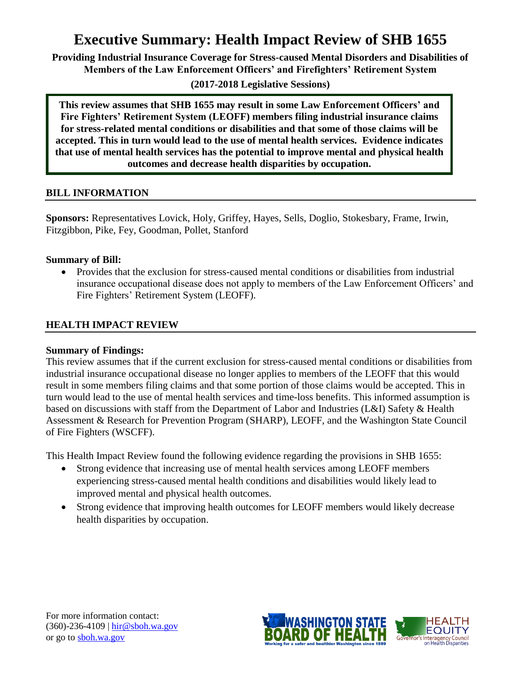# **Executive Summary: Health Impact Review of SHB 1655**

**Providing Industrial Insurance Coverage for Stress-caused Mental Disorders and Disabilities of Members of the Law Enforcement Officers' and Firefighters' Retirement System**

**(2017-2018 Legislative Sessions)**

**This review assumes that SHB 1655 may result in some Law Enforcement Officers' and Fire Fighters' Retirement System (LEOFF) members filing industrial insurance claims for stress-related mental conditions or disabilities and that some of those claims will be accepted. This in turn would lead to the use of mental health services. Evidence indicates that use of mental health services has the potential to improve mental and physical health outcomes and decrease health disparities by occupation.**

# **BILL INFORMATION**

**Sponsors:** Representatives Lovick, Holy, Griffey, Hayes, Sells, Doglio, Stokesbary, Frame, Irwin, Fitzgibbon, Pike, Fey, Goodman, Pollet, Stanford

# **Summary of Bill:**

 Provides that the exclusion for stress-caused mental conditions or disabilities from industrial insurance occupational disease does not apply to members of the Law Enforcement Officers' and Fire Fighters' Retirement System (LEOFF).

# **HEALTH IMPACT REVIEW**

#### **Summary of Findings:**

This review assumes that if the current exclusion for stress-caused mental conditions or disabilities from industrial insurance occupational disease no longer applies to members of the LEOFF that this would result in some members filing claims and that some portion of those claims would be accepted. This in turn would lead to the use of mental health services and time-loss benefits. This informed assumption is based on discussions with staff from the Department of Labor and Industries (L&I) Safety & Health Assessment & Research for Prevention Program (SHARP), LEOFF, and the Washington State Council of Fire Fighters (WSCFF).

This Health Impact Review found the following evidence regarding the provisions in SHB 1655:

- Strong evidence that increasing use of mental health services among LEOFF members experiencing stress-caused mental health conditions and disabilities would likely lead to improved mental and physical health outcomes.
- Strong evidence that improving health outcomes for LEOFF members would likely decrease health disparities by occupation.

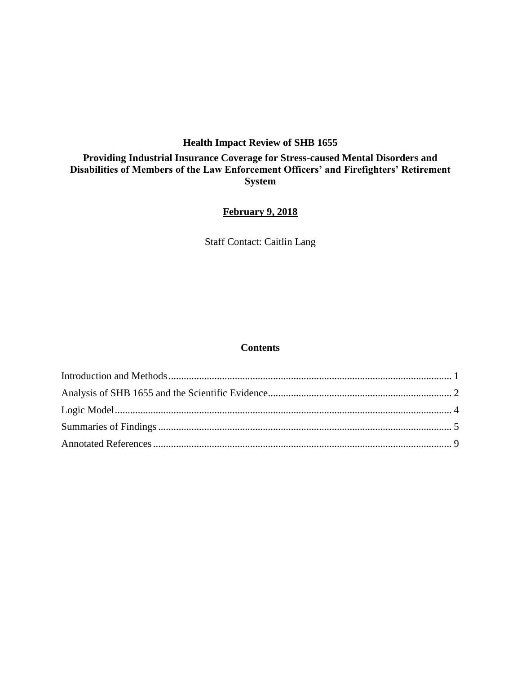# **Health Impact Review of SHB 1655**

# **Providing Industrial Insurance Coverage for Stress-caused Mental Disorders and Disabilities of Members of the Law Enforcement Officers' and Firefighters' Retirement System**

# **February 9, 2018**

Staff Contact: Caitlin Lang

#### **Contents**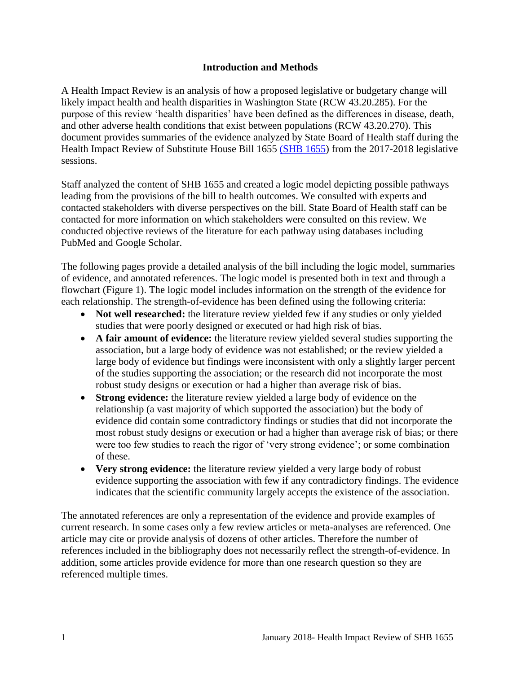#### **Introduction and Methods**

<span id="page-2-0"></span>A Health Impact Review is an analysis of how a proposed legislative or budgetary change will likely impact health and health disparities in Washington State (RCW 43.20.285). For the purpose of this review 'health disparities' have been defined as the differences in disease, death, and other adverse health conditions that exist between populations (RCW 43.20.270). This document provides summaries of the evidence analyzed by State Board of Health staff during the Health Impact Review of Substitute House Bill 1655 [\(SHB 1655\)](http://lawfilesext.leg.wa.gov/biennium/2017-18/Pdf/Bills/House%20Bills/1655-S.pdf) from the 2017-2018 legislative sessions.

Staff analyzed the content of SHB 1655 and created a logic model depicting possible pathways leading from the provisions of the bill to health outcomes. We consulted with experts and contacted stakeholders with diverse perspectives on the bill. State Board of Health staff can be contacted for more information on which stakeholders were consulted on this review. We conducted objective reviews of the literature for each pathway using databases including PubMed and Google Scholar.

The following pages provide a detailed analysis of the bill including the logic model, summaries of evidence, and annotated references. The logic model is presented both in text and through a flowchart (Figure 1). The logic model includes information on the strength of the evidence for each relationship. The strength-of-evidence has been defined using the following criteria:

- Not well researched: the literature review yielded few if any studies or only yielded studies that were poorly designed or executed or had high risk of bias.
- **A fair amount of evidence:** the literature review yielded several studies supporting the association, but a large body of evidence was not established; or the review yielded a large body of evidence but findings were inconsistent with only a slightly larger percent of the studies supporting the association; or the research did not incorporate the most robust study designs or execution or had a higher than average risk of bias.
- **Strong evidence:** the literature review yielded a large body of evidence on the relationship (a vast majority of which supported the association) but the body of evidence did contain some contradictory findings or studies that did not incorporate the most robust study designs or execution or had a higher than average risk of bias; or there were too few studies to reach the rigor of 'very strong evidence'; or some combination of these.
- **Very strong evidence:** the literature review yielded a very large body of robust evidence supporting the association with few if any contradictory findings. The evidence indicates that the scientific community largely accepts the existence of the association.

The annotated references are only a representation of the evidence and provide examples of current research. In some cases only a few review articles or meta-analyses are referenced. One article may cite or provide analysis of dozens of other articles. Therefore the number of references included in the bibliography does not necessarily reflect the strength-of-evidence. In addition, some articles provide evidence for more than one research question so they are referenced multiple times.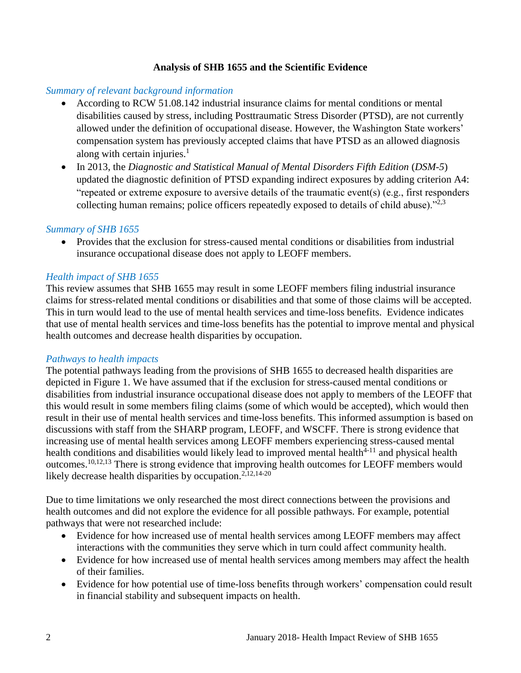## **Analysis of SHB 1655 and the Scientific Evidence**

#### <span id="page-3-0"></span>*Summary of relevant background information*

- According to RCW 51.08.142 industrial insurance claims for mental conditions or mental disabilities caused by stress, including Posttraumatic Stress Disorder (PTSD), are not currently allowed under the definition of occupational disease. However, the Washington State workers' compensation system has previously accepted claims that have PTSD as an allowed diagnosis along with certain injuries. $<sup>1</sup>$ </sup>
- In 2013, the *Diagnostic and Statistical Manual of Mental Disorders Fifth Edition* (*DSM-5*) updated the diagnostic definition of PTSD expanding indirect exposures by adding criterion A4: "repeated or extreme exposure to aversive details of the traumatic event(s) (e.g., first responders collecting human remains; police officers repeatedly exposed to details of child abuse). $"^{2,3}$  $"^{2,3}$  $"^{2,3}$  $"^{2,3}$

#### *Summary of SHB 1655*

• Provides that the exclusion for stress-caused mental conditions or disabilities from industrial insurance occupational disease does not apply to LEOFF members.

#### *Health impact of SHB 1655*

This review assumes that SHB 1655 may result in some LEOFF members filing industrial insurance claims for stress-related mental conditions or disabilities and that some of those claims will be accepted. This in turn would lead to the use of mental health services and time-loss benefits. Evidence indicates that use of mental health services and time-loss benefits has the potential to improve mental and physical health outcomes and decrease health disparities by occupation.

#### *Pathways to health impacts*

The potential pathways leading from the provisions of SHB 1655 to decreased health disparities are depicted in Figure 1. We have assumed that if the exclusion for stress-caused mental conditions or disabilities from industrial insurance occupational disease does not apply to members of the LEOFF that this would result in some members filing claims (some of which would be accepted), which would then result in their use of mental health services and time-loss benefits. This informed assumption is based on discussions with staff from the SHARP program, LEOFF, and WSCFF. There is strong evidence that increasing use of mental health services among LEOFF members experiencing stress-caused mental health conditions and disabilities would likely lead to improved mental health $4-11$  and physical health outcomes.[10](#page-13-0)[,12](#page-14-0)[,13](#page-14-1) There is strong evidence that improving health outcomes for LEOFF members would likely decrease health disparities by occupation.<sup>[2](#page-10-0)[,12](#page-14-0)[,14-20](#page-15-0)</sup>

Due to time limitations we only researched the most direct connections between the provisions and health outcomes and did not explore the evidence for all possible pathways. For example, potential pathways that were not researched include:

- Evidence for how increased use of mental health services among LEOFF members may affect interactions with the communities they serve which in turn could affect community health.
- Evidence for how increased use of mental health services among members may affect the health of their families.
- Evidence for how potential use of time-loss benefits through workers' compensation could result in financial stability and subsequent impacts on health.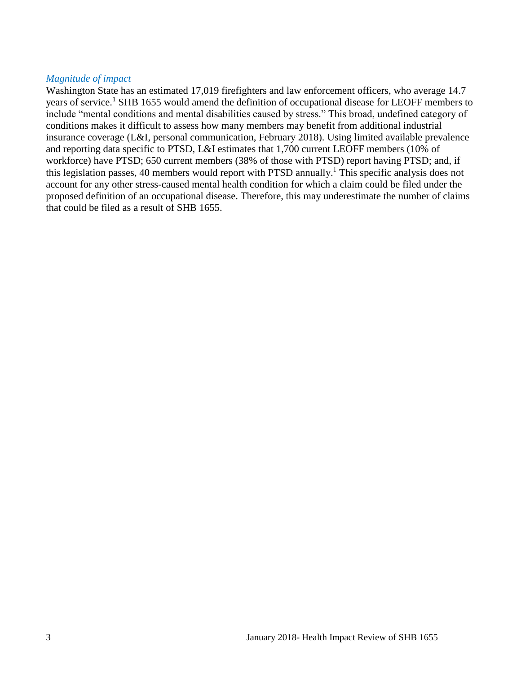#### *Magnitude of impact*

Washington State has an estimated 17,019 firefighters and law enforcement officers, who average 14.7 years of service.<sup>1</sup> SHB 1655 would amend the definition of occupational disease for LEOFF members to include "mental conditions and mental disabilities caused by stress." This broad, undefined category of conditions makes it difficult to assess how many members may benefit from additional industrial insurance coverage (L&I, personal communication, February 2018). Using limited available prevalence and reporting data specific to PTSD, L&I estimates that 1,700 current LEOFF members (10% of workforce) have PTSD; 650 current members (38% of those with PTSD) report having PTSD; and, if this legislation passes, 40 members would report with PTSD annually.<sup>1</sup> This specific analysis does not account for any other stress-caused mental health condition for which a claim could be filed under the proposed definition of an occupational disease. Therefore, this may underestimate the number of claims that could be filed as a result of SHB 1655.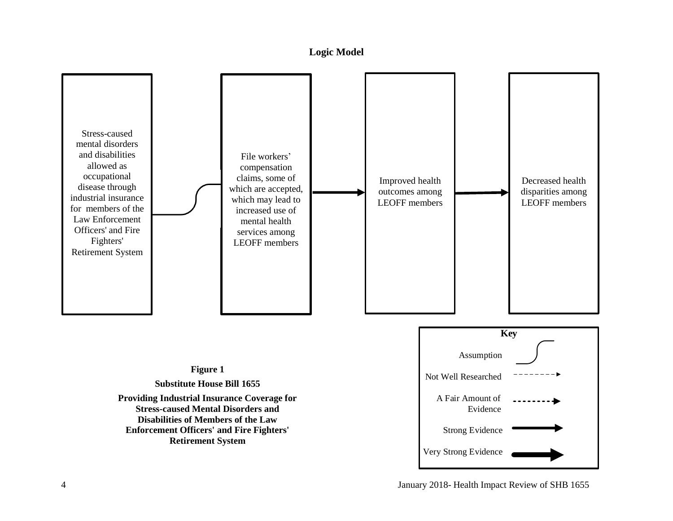#### **Logic Model**

<span id="page-5-0"></span>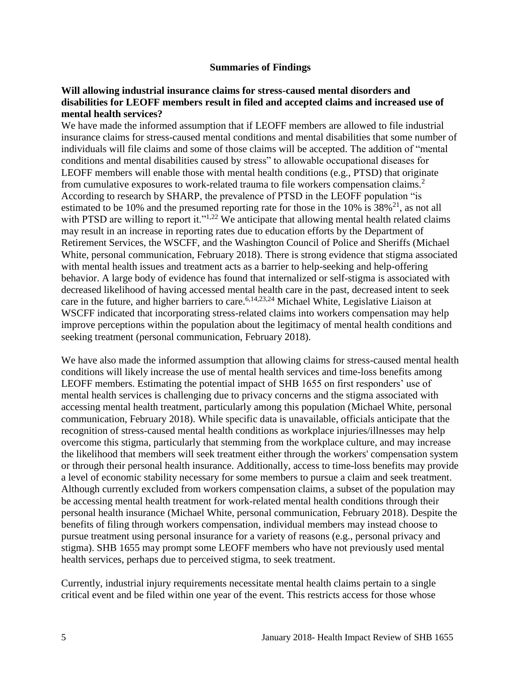#### **Summaries of Findings**

#### <span id="page-6-0"></span>**Will allowing industrial insurance claims for stress-caused mental disorders and disabilities for LEOFF members result in filed and accepted claims and increased use of mental health services?**

We have made the informed assumption that if LEOFF members are allowed to file industrial insurance claims for stress-caused mental conditions and mental disabilities that some number of individuals will file claims and some of those claims will be accepted. The addition of "mental conditions and mental disabilities caused by stress" to allowable occupational diseases for LEOFF members will enable those with mental health conditions (e.g., PTSD) that originate from cumulative exposures to work-related trauma to file workers compensation claims.<sup>2</sup> According to research by SHARP, the prevalence of PTSD in the LEOFF population "is estimated to be 10% and the presumed reporting rate for those in the 10% is  $38\frac{1}{1}$ , as not all with PTSD are willing to report it."<sup>[1,](#page-10-2)[22](#page-17-0)</sup> We anticipate that allowing mental health related claims may result in an increase in reporting rates due to education efforts by the Department of Retirement Services, the WSCFF, and the Washington Council of Police and Sheriffs (Michael White, personal communication, February 2018). There is strong evidence that stigma associated with mental health issues and treatment acts as a barrier to help-seeking and help-offering behavior. A large body of evidence has found that internalized or self-stigma is associated with decreased likelihood of having accessed mental health care in the past, decreased intent to seek care in the future, and higher barriers to care.<sup>[6,](#page-11-0)[14,](#page-15-0)[23,](#page-17-1)[24](#page-18-0)</sup> Michael White, Legislative Liaison at WSCFF indicated that incorporating stress-related claims into workers compensation may help improve perceptions within the population about the legitimacy of mental health conditions and seeking treatment (personal communication, February 2018).

We have also made the informed assumption that allowing claims for stress-caused mental health conditions will likely increase the use of mental health services and time-loss benefits among LEOFF members. Estimating the potential impact of SHB 1655 on first responders' use of mental health services is challenging due to privacy concerns and the stigma associated with accessing mental health treatment, particularly among this population (Michael White, personal communication, February 2018). While specific data is unavailable, officials anticipate that the recognition of stress-caused mental health conditions as workplace injuries/illnesses may help overcome this stigma, particularly that stemming from the workplace culture, and may increase the likelihood that members will seek treatment either through the workers' compensation system or through their personal health insurance. Additionally, access to time-loss benefits may provide a level of economic stability necessary for some members to pursue a claim and seek treatment. Although currently excluded from workers compensation claims, a subset of the population may be accessing mental health treatment for work-related mental health conditions through their personal health insurance (Michael White, personal communication, February 2018). Despite the benefits of filing through workers compensation, individual members may instead choose to pursue treatment using personal insurance for a variety of reasons (e.g., personal privacy and stigma). SHB 1655 may prompt some LEOFF members who have not previously used mental health services, perhaps due to perceived stigma, to seek treatment.

Currently, industrial injury requirements necessitate mental health claims pertain to a single critical event and be filed within one year of the event. This restricts access for those whose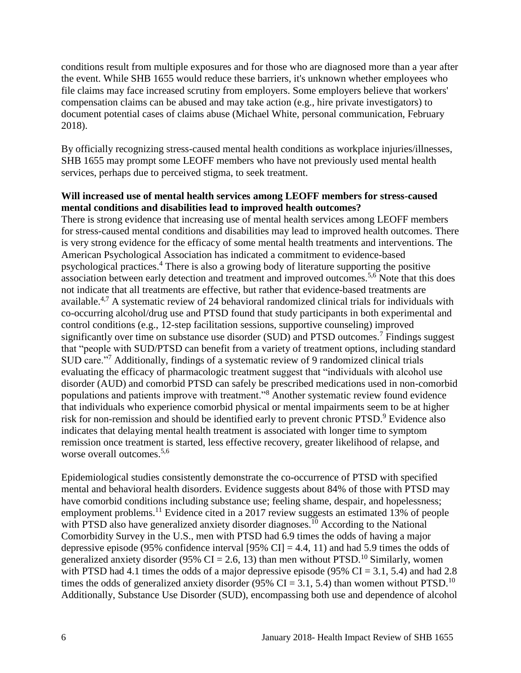conditions result from multiple exposures and for those who are diagnosed more than a year after the event. While SHB 1655 would reduce these barriers, it's unknown whether employees who file claims may face increased scrutiny from employers. Some employers believe that workers' compensation claims can be abused and may take action (e.g., hire private investigators) to document potential cases of claims abuse (Michael White, personal communication, February 2018).

By officially recognizing stress-caused mental health conditions as workplace injuries/illnesses, SHB 1655 may prompt some LEOFF members who have not previously used mental health services, perhaps due to perceived stigma, to seek treatment.

## **Will increased use of mental health services among LEOFF members for stress-caused mental conditions and disabilities lead to improved health outcomes?**

There is strong evidence that increasing use of mental health services among LEOFF members for stress-caused mental conditions and disabilities may lead to improved health outcomes. There is very strong evidence for the efficacy of some mental health treatments and interventions. The American Psychological Association has indicated a commitment to evidence-based psychological practices. <sup>4</sup> There is also a growing body of literature supporting the positive association between early detection and treatment and improved outcomes.<sup>[5](#page-11-1)[,6](#page-11-0)</sup> Note that this does not indicate that all treatments are effective, but rather that evidence-based treatments are available.<sup>[4,](#page-11-2)[7](#page-12-0)</sup> A systematic review of 24 behavioral randomized clinical trials for individuals with co-occurring alcohol/drug use and PTSD found that study participants in both experimental and control conditions (e.g., 12-step facilitation sessions, supportive counseling) improved significantly over time on substance use disorder (SUD) and PTSD outcomes.<sup>7</sup> Findings suggest that "people with SUD/PTSD can benefit from a variety of treatment options, including standard SUD care."<sup>7</sup> Additionally, findings of a systematic review of 9 randomized clinical trials evaluating the efficacy of pharmacologic treatment suggest that "individuals with alcohol use disorder (AUD) and comorbid PTSD can safely be prescribed medications used in non-comorbid populations and patients improve with treatment."<sup>8</sup> Another systematic review found evidence that individuals who experience comorbid physical or mental impairments seem to be at higher risk for non-remission and should be identified early to prevent chronic PTSD.<sup>9</sup> Evidence also indicates that delaying mental health treatment is associated with longer time to symptom remission once treatment is started, less effective recovery, greater likelihood of relapse, and worse overall outcomes.<sup>[5,](#page-11-1)[6](#page-11-0)</sup>

Epidemiological studies consistently demonstrate the co-occurrence of PTSD with specified mental and behavioral health disorders. Evidence suggests about 84% of those with PTSD may have comorbid conditions including substance use; feeling shame, despair, and hopelessness; employment problems.<sup>11</sup> Evidence cited in a 2017 review suggests an estimated 13% of people with PTSD also have generalized anxiety disorder diagnoses.<sup>10</sup> According to the National Comorbidity Survey in the U.S., men with PTSD had 6.9 times the odds of having a major depressive episode (95% confidence interval [95% CI] = 4.4, 11) and had 5.9 times the odds of generalized anxiety disorder (95% CI = 2.6, 13) than men without PTSD.<sup>10</sup> Similarly, women with PTSD had 4.1 times the odds of a major depressive episode (95% CI = 3.1, 5.4) and had 2.8 times the odds of generalized anxiety disorder (95% CI = 3.1, 5.4) than women without PTSD.<sup>10</sup> Additionally, Substance Use Disorder (SUD), encompassing both use and dependence of alcohol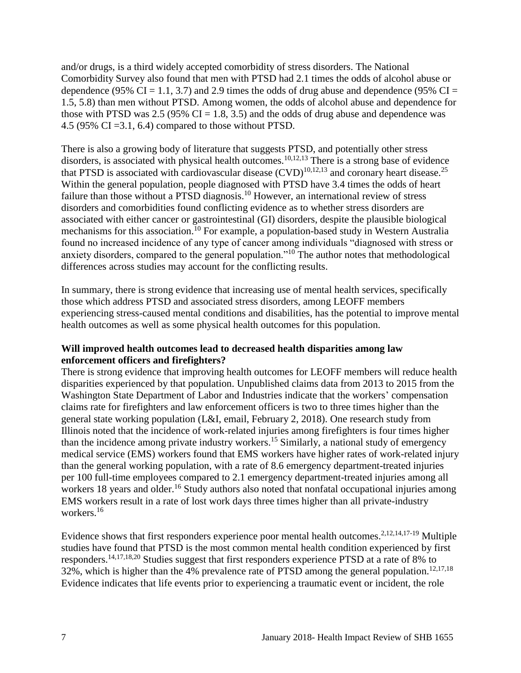and/or drugs, is a third widely accepted comorbidity of stress disorders. The National Comorbidity Survey also found that men with PTSD had 2.1 times the odds of alcohol abuse or dependence (95% CI = 1.1, 3.7) and 2.9 times the odds of drug abuse and dependence (95% CI = 1.5, 5.8) than men without PTSD. Among women, the odds of alcohol abuse and dependence for those with PTSD was 2.5 (95%  $CI = 1.8, 3.5$ ) and the odds of drug abuse and dependence was 4.5 (95% CI =3.1, 6.4) compared to those without PTSD.

There is also a growing body of literature that suggests PTSD, and potentially other stress disorders, is associated with physical health outcomes.<sup>[10](#page-13-0)[,12](#page-14-0)[,13](#page-14-1)</sup> There is a strong base of evidence that PTSD is associated with cardiovascular disease  $(CVD)^{10,12,13}$  $(CVD)^{10,12,13}$  $(CVD)^{10,12,13}$  $(CVD)^{10,12,13}$  $(CVD)^{10,12,13}$  and coronary heart disease.<sup>25</sup> Within the general population, people diagnosed with PTSD have 3.4 times the odds of heart failure than those without a PTSD diagnosis.<sup>10</sup> However, an international review of stress disorders and comorbidities found conflicting evidence as to whether stress disorders are associated with either cancer or gastrointestinal (GI) disorders, despite the plausible biological mechanisms for this association.<sup>10</sup> For example, a population-based study in Western Australia found no increased incidence of any type of cancer among individuals "diagnosed with stress or anxiety disorders, compared to the general population."<sup>10</sup> The author notes that methodological differences across studies may account for the conflicting results.

In summary, there is strong evidence that increasing use of mental health services, specifically those which address PTSD and associated stress disorders, among LEOFF members experiencing stress-caused mental conditions and disabilities, has the potential to improve mental health outcomes as well as some physical health outcomes for this population.

## **Will improved health outcomes lead to decreased health disparities among law enforcement officers and firefighters?**

There is strong evidence that improving health outcomes for LEOFF members will reduce health disparities experienced by that population. Unpublished claims data from 2013 to 2015 from the Washington State Department of Labor and Industries indicate that the workers' compensation claims rate for firefighters and law enforcement officers is two to three times higher than the general state working population (L&I, email, February 2, 2018). One research study from Illinois noted that the incidence of work-related injuries among firefighters is four times higher than the incidence among private industry workers.<sup>15</sup> Similarly, a national study of emergency medical service (EMS) workers found that EMS workers have higher rates of work-related injury than the general working population, with a rate of 8.6 emergency department-treated injuries per 100 full-time employees compared to 2.1 emergency department-treated injuries among all workers 18 years and older.<sup>16</sup> Study authors also noted that nonfatal occupational injuries among EMS workers result in a rate of lost work days three times higher than all private-industry workers. 16

Evidence shows that first responders experience poor mental health outcomes.<sup>[2,](#page-10-0)[12,](#page-14-0)[14](#page-15-0)[,17-19](#page-16-0)</sup> Multiple studies have found that PTSD is the most common mental health condition experienced by first responders.<sup>[14](#page-15-0)[,17](#page-16-0)[,18](#page-16-1)[,20](#page-17-2)</sup> Studies suggest that first responders experience PTSD at a rate of 8% to 32%, which is higher than the 4% prevalence rate of PTSD among the general population.<sup>[12,](#page-14-0)[17,](#page-16-0)[18](#page-16-1)</sup> Evidence indicates that life events prior to experiencing a traumatic event or incident, the role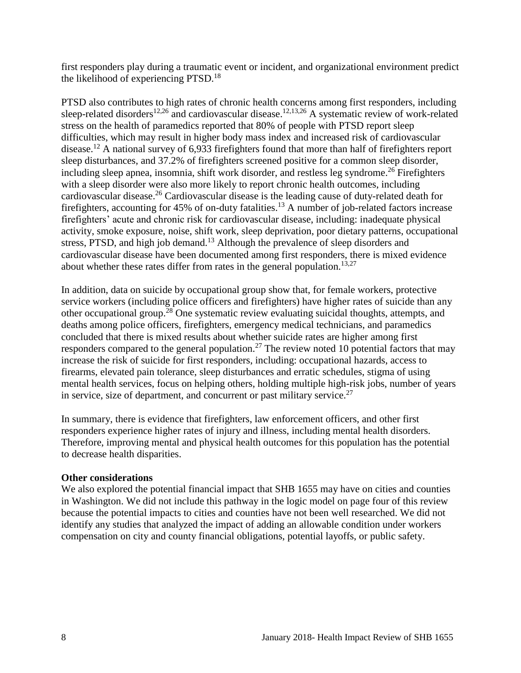first responders play during a traumatic event or incident, and organizational environment predict the likelihood of experiencing PTSD.<sup>18</sup>

PTSD also contributes to high rates of chronic health concerns among first responders, including sleep-related disorders<sup>[12,](#page-14-0)[26](#page-19-0)</sup> and cardiovascular disease.<sup>[12](#page-14-0)[,13](#page-14-1)[,26](#page-19-0)</sup> A systematic review of work-related stress on the health of paramedics reported that 80% of people with PTSD report sleep difficulties, which may result in higher body mass index and increased risk of cardiovascular disease.<sup>12</sup> A national survey of 6,933 firefighters found that more than half of firefighters report sleep disturbances, and 37.2% of firefighters screened positive for a common sleep disorder, including sleep apnea, insomnia, shift work disorder, and restless leg syndrome. <sup>26</sup> Firefighters with a sleep disorder were also more likely to report chronic health outcomes, including cardiovascular disease.<sup>26</sup> Cardiovascular disease is the leading cause of duty-related death for firefighters, accounting for 45% of on-duty fatalities.<sup>13</sup> A number of job-related factors increase firefighters' acute and chronic risk for cardiovascular disease, including: inadequate physical activity, smoke exposure, noise, shift work, sleep deprivation, poor dietary patterns, occupational stress, PTSD, and high job demand.<sup>13</sup> Although the prevalence of sleep disorders and cardiovascular disease have been documented among first responders, there is mixed evidence about whether these rates differ from rates in the general population.<sup>[13](#page-14-1)[,27](#page-19-1)</sup>

In addition, data on suicide by occupational group show that, for female workers, protective service workers (including police officers and firefighters) have higher rates of suicide than any other occupational group.<sup>28</sup> One systematic review evaluating suicidal thoughts, attempts, and deaths among police officers, firefighters, emergency medical technicians, and paramedics concluded that there is mixed results about whether suicide rates are higher among first responders compared to the general population.<sup>27</sup> The review noted 10 potential factors that may increase the risk of suicide for first responders, including: occupational hazards, access to firearms, elevated pain tolerance, sleep disturbances and erratic schedules, stigma of using mental health services, focus on helping others, holding multiple high-risk jobs, number of years in service, size of department, and concurrent or past military service.<sup>27</sup>

In summary, there is evidence that firefighters, law enforcement officers, and other first responders experience higher rates of injury and illness, including mental health disorders. Therefore, improving mental and physical health outcomes for this population has the potential to decrease health disparities.

#### **Other considerations**

<span id="page-9-0"></span>We also explored the potential financial impact that SHB 1655 may have on cities and counties in Washington. We did not include this pathway in the logic model on page four of this review because the potential impacts to cities and counties have not been well researched. We did not identify any studies that analyzed the impact of adding an allowable condition under workers compensation on city and county financial obligations, potential layoffs, or public safety.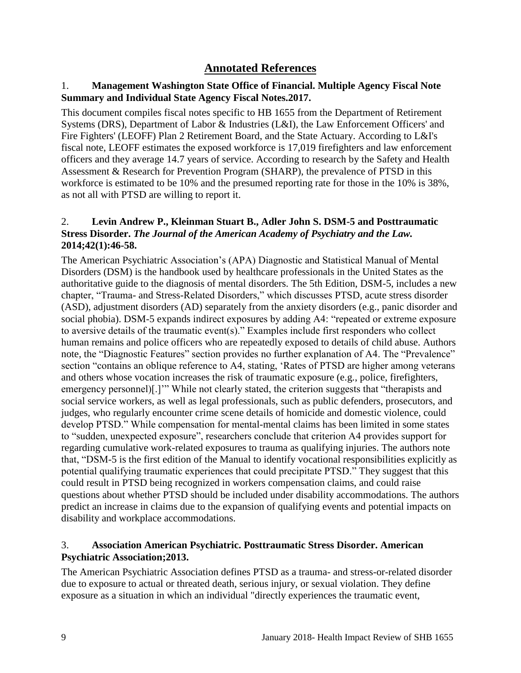# **Annotated References**

# <span id="page-10-2"></span>1. **Management Washington State Office of Financial. Multiple Agency Fiscal Note Summary and Individual State Agency Fiscal Notes.2017.**

This document compiles fiscal notes specific to HB 1655 from the Department of Retirement Systems (DRS), Department of Labor & Industries (L&I), the Law Enforcement Officers' and Fire Fighters' (LEOFF) Plan 2 Retirement Board, and the State Actuary. According to L&I's fiscal note, LEOFF estimates the exposed workforce is 17,019 firefighters and law enforcement officers and they average 14.7 years of service. According to research by the Safety and Health Assessment & Research for Prevention Program (SHARP), the prevalence of PTSD in this workforce is estimated to be 10% and the presumed reporting rate for those in the 10% is 38%, as not all with PTSD are willing to report it.

# <span id="page-10-0"></span>2. **Levin Andrew P., Kleinman Stuart B., Adler John S. DSM-5 and Posttraumatic Stress Disorder.** *The Journal of the American Academy of Psychiatry and the Law.*  **2014;42(1):46-58.**

The American Psychiatric Association's (APA) Diagnostic and Statistical Manual of Mental Disorders (DSM) is the handbook used by healthcare professionals in the United States as the authoritative guide to the diagnosis of mental disorders. The 5th Edition, DSM-5, includes a new chapter, "Trauma- and Stress-Related Disorders," which discusses PTSD, acute stress disorder (ASD), adjustment disorders (AD) separately from the anxiety disorders (e.g., panic disorder and social phobia). DSM-5 expands indirect exposures by adding A4: "repeated or extreme exposure to aversive details of the traumatic event(s)." Examples include first responders who collect human remains and police officers who are repeatedly exposed to details of child abuse. Authors note, the "Diagnostic Features" section provides no further explanation of A4. The "Prevalence" section "contains an oblique reference to A4, stating, 'Rates of PTSD are higher among veterans and others whose vocation increases the risk of traumatic exposure (e.g., police, firefighters, emergency personnel)[.]'" While not clearly stated, the criterion suggests that "therapists and social service workers, as well as legal professionals, such as public defenders, prosecutors, and judges, who regularly encounter crime scene details of homicide and domestic violence, could develop PTSD." While compensation for mental-mental claims has been limited in some states to "sudden, unexpected exposure", researchers conclude that criterion A4 provides support for regarding cumulative work-related exposures to trauma as qualifying injuries. The authors note that, "DSM-5 is the first edition of the Manual to identify vocational responsibilities explicitly as potential qualifying traumatic experiences that could precipitate PTSD." They suggest that this could result in PTSD being recognized in workers compensation claims, and could raise questions about whether PTSD should be included under disability accommodations. The authors predict an increase in claims due to the expansion of qualifying events and potential impacts on disability and workplace accommodations.

# <span id="page-10-1"></span>3. **Association American Psychiatric. Posttraumatic Stress Disorder. American Psychiatric Association;2013.**

The American Psychiatric Association defines PTSD as a trauma- and stress-or-related disorder due to exposure to actual or threated death, serious injury, or sexual violation. They define exposure as a situation in which an individual "directly experiences the traumatic event,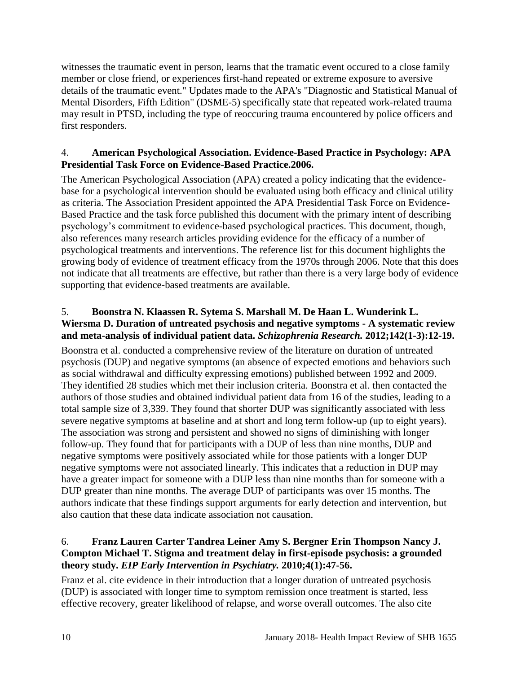witnesses the traumatic event in person, learns that the tramatic event occured to a close family member or close friend, or experiences first-hand repeated or extreme exposure to aversive details of the traumatic event." Updates made to the APA's "Diagnostic and Statistical Manual of Mental Disorders, Fifth Edition" (DSME-5) specifically state that repeated work-related trauma may result in PTSD, including the type of reoccuring trauma encountered by police officers and first responders.

## <span id="page-11-2"></span>4. **American Psychological Association. Evidence-Based Practice in Psychology: APA Presidential Task Force on Evidence-Based Practice.2006.**

The American Psychological Association (APA) created a policy indicating that the evidencebase for a psychological intervention should be evaluated using both efficacy and clinical utility as criteria. The Association President appointed the APA Presidential Task Force on Evidence-Based Practice and the task force published this document with the primary intent of describing psychology's commitment to evidence-based psychological practices. This document, though, also references many research articles providing evidence for the efficacy of a number of psychological treatments and interventions. The reference list for this document highlights the growing body of evidence of treatment efficacy from the 1970s through 2006. Note that this does not indicate that all treatments are effective, but rather than there is a very large body of evidence supporting that evidence-based treatments are available.

# <span id="page-11-1"></span>5. **Boonstra N. Klaassen R. Sytema S. Marshall M. De Haan L. Wunderink L. Wiersma D. Duration of untreated psychosis and negative symptoms - A systematic review and meta-analysis of individual patient data.** *Schizophrenia Research.* **2012;142(1-3):12-19.**

Boonstra et al. conducted a comprehensive review of the literature on duration of untreated psychosis (DUP) and negative symptoms (an absence of expected emotions and behaviors such as social withdrawal and difficulty expressing emotions) published between 1992 and 2009. They identified 28 studies which met their inclusion criteria. Boonstra et al. then contacted the authors of those studies and obtained individual patient data from 16 of the studies, leading to a total sample size of 3,339. They found that shorter DUP was significantly associated with less severe negative symptoms at baseline and at short and long term follow-up (up to eight years). The association was strong and persistent and showed no signs of diminishing with longer follow-up. They found that for participants with a DUP of less than nine months, DUP and negative symptoms were positively associated while for those patients with a longer DUP negative symptoms were not associated linearly. This indicates that a reduction in DUP may have a greater impact for someone with a DUP less than nine months than for someone with a DUP greater than nine months. The average DUP of participants was over 15 months. The authors indicate that these findings support arguments for early detection and intervention, but also caution that these data indicate association not causation.

# <span id="page-11-0"></span>6. **Franz Lauren Carter Tandrea Leiner Amy S. Bergner Erin Thompson Nancy J. Compton Michael T. Stigma and treatment delay in first-episode psychosis: a grounded theory study.** *EIP Early Intervention in Psychiatry.* **2010;4(1):47-56.**

Franz et al. cite evidence in their introduction that a longer duration of untreated psychosis (DUP) is associated with longer time to symptom remission once treatment is started, less effective recovery, greater likelihood of relapse, and worse overall outcomes. The also cite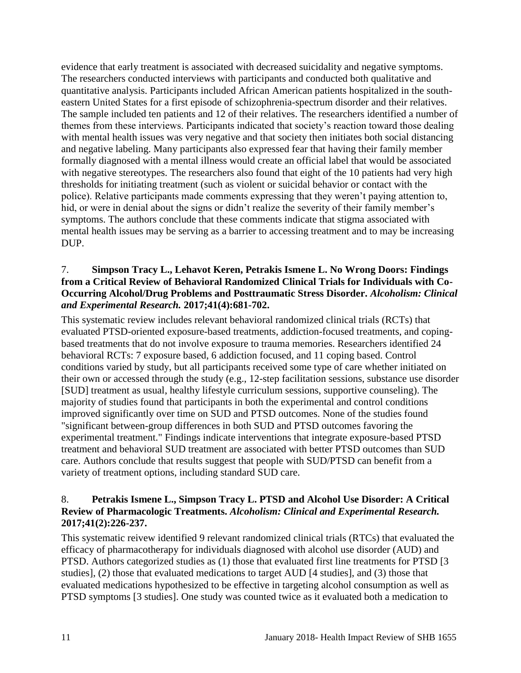evidence that early treatment is associated with decreased suicidality and negative symptoms. The researchers conducted interviews with participants and conducted both qualitative and quantitative analysis. Participants included African American patients hospitalized in the southeastern United States for a first episode of schizophrenia-spectrum disorder and their relatives. The sample included ten patients and 12 of their relatives. The researchers identified a number of themes from these interviews. Participants indicated that society's reaction toward those dealing with mental health issues was very negative and that society then initiates both social distancing and negative labeling. Many participants also expressed fear that having their family member formally diagnosed with a mental illness would create an official label that would be associated with negative stereotypes. The researchers also found that eight of the 10 patients had very high thresholds for initiating treatment (such as violent or suicidal behavior or contact with the police). Relative participants made comments expressing that they weren't paying attention to, hid, or were in denial about the signs or didn't realize the severity of their family member's symptoms. The authors conclude that these comments indicate that stigma associated with mental health issues may be serving as a barrier to accessing treatment and to may be increasing DUP.

## <span id="page-12-0"></span>7. **Simpson Tracy L., Lehavot Keren, Petrakis Ismene L. No Wrong Doors: Findings from a Critical Review of Behavioral Randomized Clinical Trials for Individuals with Co-Occurring Alcohol/Drug Problems and Posttraumatic Stress Disorder.** *Alcoholism: Clinical and Experimental Research.* **2017;41(4):681-702.**

This systematic review includes relevant behavioral randomized clinical trials (RCTs) that evaluated PTSD-oriented exposure-based treatments, addiction-focused treatments, and copingbased treatments that do not involve exposure to trauma memories. Researchers identified 24 behavioral RCTs: 7 exposure based, 6 addiction focused, and 11 coping based. Control conditions varied by study, but all participants received some type of care whether initiated on their own or accessed through the study (e.g., 12-step facilitation sessions, substance use disorder [SUD] treatment as usual, healthy lifestyle curriculum sessions, supportive counseling). The majority of studies found that participants in both the experimental and control conditions improved significantly over time on SUD and PTSD outcomes. None of the studies found "significant between-group differences in both SUD and PTSD outcomes favoring the experimental treatment." Findings indicate interventions that integrate exposure-based PTSD treatment and behavioral SUD treatment are associated with better PTSD outcomes than SUD care. Authors conclude that results suggest that people with SUD/PTSD can benefit from a variety of treatment options, including standard SUD care.

# 8. **Petrakis Ismene L., Simpson Tracy L. PTSD and Alcohol Use Disorder: A Critical Review of Pharmacologic Treatments.** *Alcoholism: Clinical and Experimental Research.*  **2017;41(2):226-237.**

This systematic reivew identified 9 relevant randomized clinical trials (RTCs) that evaluated the efficacy of pharmacotherapy for individuals diagnosed with alcohol use disorder (AUD) and PTSD. Authors categorized studies as (1) those that evaluated first line treatments for PTSD [3 studies], (2) those that evaluated medications to target AUD [4 studies], and (3) those that evaluated medications hypothesized to be effective in targeting alcohol consumption as well as PTSD symptoms [3 studies]. One study was counted twice as it evaluated both a medication to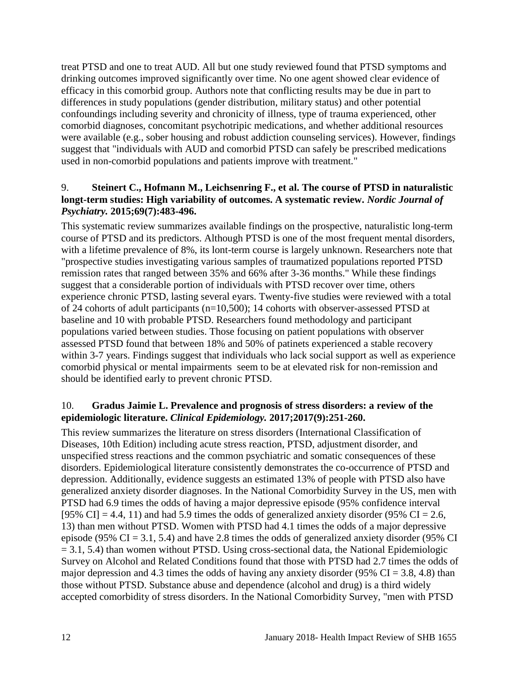treat PTSD and one to treat AUD. All but one study reviewed found that PTSD symptoms and drinking outcomes improved significantly over time. No one agent showed clear evidence of efficacy in this comorbid group. Authors note that conflicting results may be due in part to differences in study populations (gender distribution, military status) and other potential confoundings including severity and chronicity of illness, type of trauma experienced, other comorbid diagnoses, concomitant psychotripic medications, and whether additional resources were available (e.g., sober housing and robust addiction counseling services). However, findings suggest that "individuals with AUD and comorbid PTSD can safely be prescribed medications used in non-comorbid populations and patients improve with treatment."

# 9. **Steinert C., Hofmann M., Leichsenring F., et al. The course of PTSD in naturalistic longt-term studies: High variability of outcomes. A systematic review.** *Nordic Journal of Psychiatry.* **2015;69(7):483-496.**

This systematic review summarizes available findings on the prospective, naturalistic long-term course of PTSD and its predictors. Although PTSD is one of the most frequent mental disorders, with a lifetime prevalence of 8%, its lont-term course is largely unknown. Researchers note that "prospective studies investigating various samples of traumatized populations reported PTSD remission rates that ranged between 35% and 66% after 3-36 months." While these findings suggest that a considerable portion of individuals with PTSD recover over time, others experience chronic PTSD, lasting several eyars. Twenty-five studies were reviewed with a total of 24 cohorts of adult participants (n=10,500); 14 cohorts with observer-assessed PTSD at baseline and 10 with probable PTSD. Researchers found methodology and participant populations varied between studies. Those focusing on patient populations with observer assessed PTSD found that between 18% and 50% of patinets experienced a stable recovery within 3-7 years. Findings suggest that individuals who lack social support as well as experience comorbid physical or mental impairments seem to be at elevated risk for non-remission and should be identified early to prevent chronic PTSD.

# <span id="page-13-0"></span>10. **Gradus Jaimie L. Prevalence and prognosis of stress disorders: a review of the epidemiologic literature.** *Clinical Epidemiology.* **2017;2017(9):251-260.**

This review summarizes the literature on stress disorders (International Classification of Diseases, 10th Edition) including acute stress reaction, PTSD, adjustment disorder, and unspecified stress reactions and the common psychiatric and somatic consequences of these disorders. Epidemiological literature consistently demonstrates the co-occurrence of PTSD and depression. Additionally, evidence suggests an estimated 13% of people with PTSD also have generalized anxiety disorder diagnoses. In the National Comorbidity Survey in the US, men with PTSD had 6.9 times the odds of having a major depressive episode (95% confidence interval [95% CI] = 4.4, 11) and had 5.9 times the odds of generalized anxiety disorder (95% CI = 2.6, 13) than men without PTSD. Women with PTSD had 4.1 times the odds of a major depressive episode (95%  $CI = 3.1, 5.4$ ) and have 2.8 times the odds of generalized anxiety disorder (95%  $CI$  $= 3.1, 5.4$ ) than women without PTSD. Using cross-sectional data, the National Epidemiologic Survey on Alcohol and Related Conditions found that those with PTSD had 2.7 times the odds of major depression and 4.3 times the odds of having any anxiety disorder (95% CI = 3.8, 4.8) than those without PTSD. Substance abuse and dependence (alcohol and drug) is a third widely accepted comorbidity of stress disorders. In the National Comorbidity Survey, "men with PTSD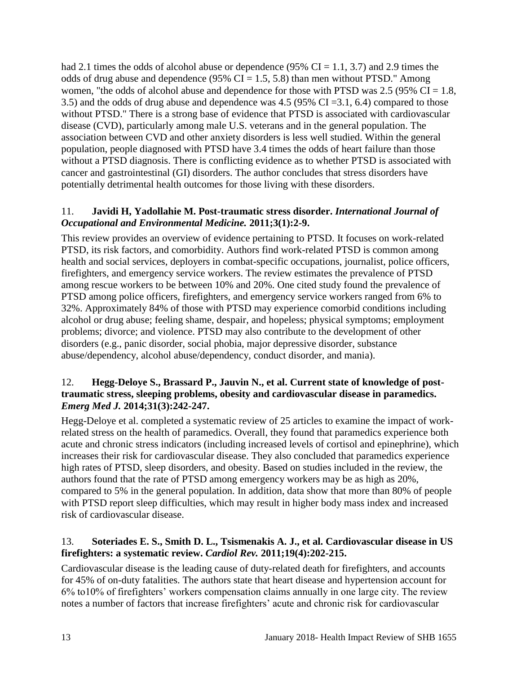had 2.1 times the odds of alcohol abuse or dependence (95%  $CI = 1.1, 3.7$ ) and 2.9 times the odds of drug abuse and dependence (95%  $CI = 1.5, 5.8$ ) than men without PTSD." Among women, "the odds of alcohol abuse and dependence for those with PTSD was  $2.5$  (95% CI = 1.8, 3.5) and the odds of drug abuse and dependence was 4.5 (95% CI =3.1, 6.4) compared to those without PTSD." There is a strong base of evidence that PTSD is associated with cardiovascular disease (CVD), particularly among male U.S. veterans and in the general population. The association between CVD and other anxiety disorders is less well studied. Within the general population, people diagnosed with PTSD have 3.4 times the odds of heart failure than those without a PTSD diagnosis. There is conflicting evidence as to whether PTSD is associated with cancer and gastrointestinal (GI) disorders. The author concludes that stress disorders have potentially detrimental health outcomes for those living with these disorders.

# 11. **Javidi H, Yadollahie M. Post-traumatic stress disorder.** *International Journal of Occupational and Environmental Medicine.* **2011;3(1):2-9.**

This review provides an overview of evidence pertaining to PTSD. It focuses on work-related PTSD, its risk factors, and comorbidity. Authors find work-related PTSD is common among health and social services, deployers in combat-specific occupations, journalist, police officers, firefighters, and emergency service workers. The review estimates the prevalence of PTSD among rescue workers to be between 10% and 20%. One cited study found the prevalence of PTSD among police officers, firefighters, and emergency service workers ranged from 6% to 32%. Approximately 84% of those with PTSD may experience comorbid conditions including alcohol or drug abuse; feeling shame, despair, and hopeless; physical symptoms; employment problems; divorce; and violence. PTSD may also contribute to the development of other disorders (e.g., panic disorder, social phobia, major depressive disorder, substance abuse/dependency, alcohol abuse/dependency, conduct disorder, and mania).

# <span id="page-14-0"></span>12. **Hegg-Deloye S., Brassard P., Jauvin N., et al. Current state of knowledge of posttraumatic stress, sleeping problems, obesity and cardiovascular disease in paramedics.**  *Emerg Med J.* **2014;31(3):242-247.**

Hegg-Deloye et al. completed a systematic review of 25 articles to examine the impact of workrelated stress on the health of paramedics. Overall, they found that paramedics experience both acute and chronic stress indicators (including increased levels of cortisol and epinephrine), which increases their risk for cardiovascular disease. They also concluded that paramedics experience high rates of PTSD, sleep disorders, and obesity. Based on studies included in the review, the authors found that the rate of PTSD among emergency workers may be as high as 20%, compared to 5% in the general population. In addition, data show that more than 80% of people with PTSD report sleep difficulties, which may result in higher body mass index and increased risk of cardiovascular disease.

# <span id="page-14-1"></span>13. **Soteriades E. S., Smith D. L., Tsismenakis A. J., et al. Cardiovascular disease in US firefighters: a systematic review.** *Cardiol Rev.* **2011;19(4):202-215.**

Cardiovascular disease is the leading cause of duty-related death for firefighters, and accounts for 45% of on-duty fatalities. The authors state that heart disease and hypertension account for 6% to10% of firefighters' workers compensation claims annually in one large city. The review notes a number of factors that increase firefighters' acute and chronic risk for cardiovascular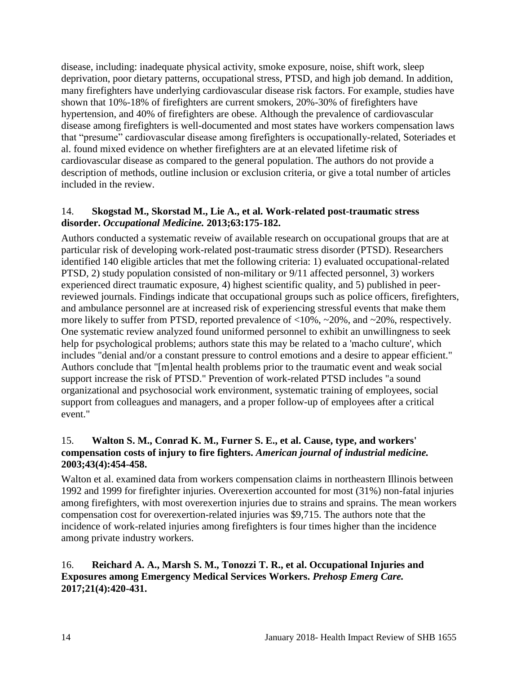disease, including: inadequate physical activity, smoke exposure, noise, shift work, sleep deprivation, poor dietary patterns, occupational stress, PTSD, and high job demand. In addition, many firefighters have underlying cardiovascular disease risk factors. For example, studies have shown that 10%-18% of firefighters are current smokers, 20%-30% of firefighters have hypertension, and 40% of firefighters are obese. Although the prevalence of cardiovascular disease among firefighters is well-documented and most states have workers compensation laws that "presume" cardiovascular disease among firefighters is occupationally-related, Soteriades et al. found mixed evidence on whether firefighters are at an elevated lifetime risk of cardiovascular disease as compared to the general population. The authors do not provide a description of methods, outline inclusion or exclusion criteria, or give a total number of articles included in the review.

## <span id="page-15-0"></span>14. **Skogstad M., Skorstad M., Lie A., et al. Work-related post-traumatic stress disorder.** *Occupational Medicine.* **2013;63:175-182.**

Authors conducted a systematic reveiw of available research on occupational groups that are at particular risk of developing work-related post-traumatic stress disorder (PTSD). Researchers identified 140 eligible articles that met the following criteria: 1) evaluated occupational-related PTSD, 2) study population consisted of non-military or 9/11 affected personnel, 3) workers experienced direct traumatic exposure, 4) highest scientific quality, and 5) published in peerreviewed journals. Findings indicate that occupational groups such as police officers, firefighters, and ambulance personnel are at increased risk of experiencing stressful events that make them more likely to suffer from PTSD, reported prevalence of <10%, ~20%, and ~20%, respectively. One systematic review analyzed found uniformed personnel to exhibit an unwillingness to seek help for psychological problems; authors state this may be related to a 'macho culture', which includes "denial and/or a constant pressure to control emotions and a desire to appear efficient." Authors conclude that "[m]ental health problems prior to the traumatic event and weak social support increase the risk of PTSD." Prevention of work-related PTSD includes "a sound organizational and psychosocial work environment, systematic training of employees, social support from colleagues and managers, and a proper follow-up of employees after a critical event."

# 15. **Walton S. M., Conrad K. M., Furner S. E., et al. Cause, type, and workers' compensation costs of injury to fire fighters.** *American journal of industrial medicine.*  **2003;43(4):454-458.**

Walton et al. examined data from workers compensation claims in northeastern Illinois between 1992 and 1999 for firefighter injuries. Overexertion accounted for most (31%) non-fatal injuries among firefighters, with most overexertion injuries due to strains and sprains. The mean workers compensation cost for overexertion-related injuries was \$9,715. The authors note that the incidence of work-related injuries among firefighters is four times higher than the incidence among private industry workers.

# 16. **Reichard A. A., Marsh S. M., Tonozzi T. R., et al. Occupational Injuries and Exposures among Emergency Medical Services Workers.** *Prehosp Emerg Care.*  **2017;21(4):420-431.**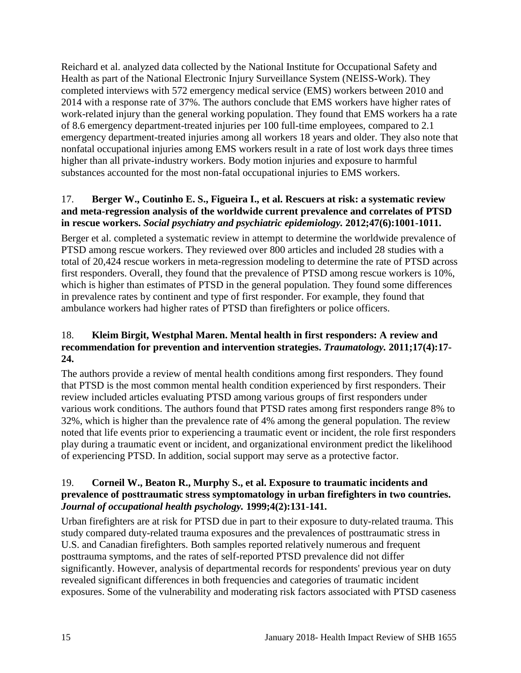Reichard et al. analyzed data collected by the National Institute for Occupational Safety and Health as part of the National Electronic Injury Surveillance System (NEISS-Work). They completed interviews with 572 emergency medical service (EMS) workers between 2010 and 2014 with a response rate of 37%. The authors conclude that EMS workers have higher rates of work-related injury than the general working population. They found that EMS workers ha a rate of 8.6 emergency department-treated injuries per 100 full-time employees, compared to 2.1 emergency department-treated injuries among all workers 18 years and older. They also note that nonfatal occupational injuries among EMS workers result in a rate of lost work days three times higher than all private-industry workers. Body motion injuries and exposure to harmful substances accounted for the most non-fatal occupational injuries to EMS workers.

# <span id="page-16-0"></span>17. **Berger W., Coutinho E. S., Figueira I., et al. Rescuers at risk: a systematic review and meta-regression analysis of the worldwide current prevalence and correlates of PTSD in rescue workers.** *Social psychiatry and psychiatric epidemiology.* **2012;47(6):1001-1011.**

Berger et al. completed a systematic review in attempt to determine the worldwide prevalence of PTSD among rescue workers. They reviewed over 800 articles and included 28 studies with a total of 20,424 rescue workers in meta-regression modeling to determine the rate of PTSD across first responders. Overall, they found that the prevalence of PTSD among rescue workers is 10%, which is higher than estimates of PTSD in the general population. They found some differences in prevalence rates by continent and type of first responder. For example, they found that ambulance workers had higher rates of PTSD than firefighters or police officers.

# <span id="page-16-1"></span>18. **Kleim Birgit, Westphal Maren. Mental health in first responders: A review and recommendation for prevention and intervention strategies.** *Traumatology.* **2011;17(4):17- 24.**

The authors provide a review of mental health conditions among first responders. They found that PTSD is the most common mental health condition experienced by first responders. Their review included articles evaluating PTSD among various groups of first responders under various work conditions. The authors found that PTSD rates among first responders range 8% to 32%, which is higher than the prevalence rate of 4% among the general population. The review noted that life events prior to experiencing a traumatic event or incident, the role first responders play during a traumatic event or incident, and organizational environment predict the likelihood of experiencing PTSD. In addition, social support may serve as a protective factor.

# 19. **Corneil W., Beaton R., Murphy S., et al. Exposure to traumatic incidents and prevalence of posttraumatic stress symptomatology in urban firefighters in two countries.**  *Journal of occupational health psychology.* **1999;4(2):131-141.**

Urban firefighters are at risk for PTSD due in part to their exposure to duty-related trauma. This study compared duty-related trauma exposures and the prevalences of posttraumatic stress in U.S. and Canadian firefighters. Both samples reported relatively numerous and frequent posttrauma symptoms, and the rates of self-reported PTSD prevalence did not differ significantly. However, analysis of departmental records for respondents' previous year on duty revealed significant differences in both frequencies and categories of traumatic incident exposures. Some of the vulnerability and moderating risk factors associated with PTSD caseness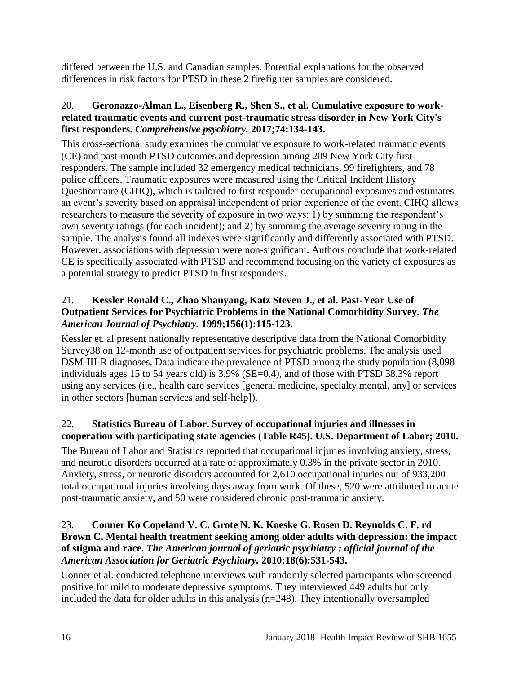differed between the U.S. and Canadian samples. Potential explanations for the observed differences in risk factors for PTSD in these 2 firefighter samples are considered.

# <span id="page-17-2"></span>20. **Geronazzo-Alman L., Eisenberg R., Shen S., et al. Cumulative exposure to workrelated traumatic events and current post-traumatic stress disorder in New York City's first responders.** *Comprehensive psychiatry.* **2017;74:134-143.**

This cross-sectional study examines the cumulative exposure to work-related traumatic events (CE) and past-month PTSD outcomes and depression among 209 New York City first responders. The sample included 32 emergency medical technicians, 99 firefighters, and 78 police officers. Traumatic exposures were measured using the Critical Incident History Questionnaire (CIHQ), which is tailored to first responder occupational exposures and estimates an event's severity based on appraisal independent of prior experience of the event. CIHQ allows researchers to measure the severity of exposure in two ways: 1) by summing the respondent's own severity ratings (for each incident); and 2) by summing the average severity rating in the sample. The analysis found all indexes were significantly and differently associated with PTSD. However, associations with depression were non-significant. Authors conclude that work-related CE is specifically associated with PTSD and recommend focusing on the variety of exposures as a potential strategy to predict PTSD in first responders.

# 21. **Kessler Ronald C., Zhao Shanyang, Katz Steven J., et al. Past-Year Use of Outpatient Services for Psychiatric Problems in the National Comorbidity Survey.** *The American Journal of Psychiatry.* **1999;156(1):115-123.**

Kessler et. al present nationally representative descriptive data from the National Comorbidity Survey38 on 12-month use of outpatient services for psychiatric problems. The analysis used DSM-III-R diagnoses. Data indicate the prevalence of PTSD among the study population (8,098 individuals ages 15 to 54 years old) is 3.9% (SE=0.4), and of those with PTSD 38.3% report using any services (i.e., health care services [general medicine, specialty mental, any] or services in other sectors [human services and self-help]).

# <span id="page-17-0"></span>22. **Statistics Bureau of Labor. Survey of occupational injuries and illnesses in cooperation with participating state agencies (Table R45). U.S. Department of Labor; 2010.**

The Bureau of Labor and Statistics reported that occupational injuries involving anxiety, stress, and neurotic disorders occurred at a rate of approximately 0.3% in the private sector in 2010. Anxiety, stress, or neurotic disorders accounted for 2,610 occupational injuries out of 933,200 total occupational injuries involving days away from work. Of these, 520 were attributed to acute post-traumatic anxiety, and 50 were considered chronic post-traumatic anxiety.

# <span id="page-17-1"></span>23. **Conner Ko Copeland V. C. Grote N. K. Koeske G. Rosen D. Reynolds C. F. rd Brown C. Mental health treatment seeking among older adults with depression: the impact of stigma and race.** *The American journal of geriatric psychiatry : official journal of the American Association for Geriatric Psychiatry.* **2010;18(6):531-543.**

Conner et al. conducted telephone interviews with randomly selected participants who screened positive for mild to moderate depressive symptoms. They interviewed 449 adults but only included the data for older adults in this analysis (n=248). They intentionally oversampled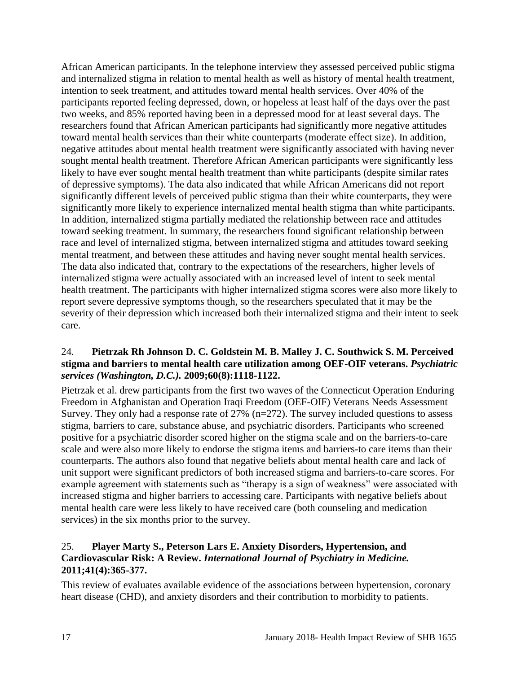African American participants. In the telephone interview they assessed perceived public stigma and internalized stigma in relation to mental health as well as history of mental health treatment, intention to seek treatment, and attitudes toward mental health services. Over 40% of the participants reported feeling depressed, down, or hopeless at least half of the days over the past two weeks, and 85% reported having been in a depressed mood for at least several days. The researchers found that African American participants had significantly more negative attitudes toward mental health services than their white counterparts (moderate effect size). In addition, negative attitudes about mental health treatment were significantly associated with having never sought mental health treatment. Therefore African American participants were significantly less likely to have ever sought mental health treatment than white participants (despite similar rates of depressive symptoms). The data also indicated that while African Americans did not report significantly different levels of perceived public stigma than their white counterparts, they were significantly more likely to experience internalized mental health stigma than white participants. In addition, internalized stigma partially mediated the relationship between race and attitudes toward seeking treatment. In summary, the researchers found significant relationship between race and level of internalized stigma, between internalized stigma and attitudes toward seeking mental treatment, and between these attitudes and having never sought mental health services. The data also indicated that, contrary to the expectations of the researchers, higher levels of internalized stigma were actually associated with an increased level of intent to seek mental health treatment. The participants with higher internalized stigma scores were also more likely to report severe depressive symptoms though, so the researchers speculated that it may be the severity of their depression which increased both their internalized stigma and their intent to seek care.

## <span id="page-18-0"></span>24. **Pietrzak Rh Johnson D. C. Goldstein M. B. Malley J. C. Southwick S. M. Perceived stigma and barriers to mental health care utilization among OEF-OIF veterans.** *Psychiatric services (Washington, D.C.).* **2009;60(8):1118-1122.**

Pietrzak et al. drew participants from the first two waves of the Connecticut Operation Enduring Freedom in Afghanistan and Operation Iraqi Freedom (OEF-OIF) Veterans Needs Assessment Survey. They only had a response rate of 27% (n=272). The survey included questions to assess stigma, barriers to care, substance abuse, and psychiatric disorders. Participants who screened positive for a psychiatric disorder scored higher on the stigma scale and on the barriers-to-care scale and were also more likely to endorse the stigma items and barriers-to care items than their counterparts. The authors also found that negative beliefs about mental health care and lack of unit support were significant predictors of both increased stigma and barriers-to-care scores. For example agreement with statements such as "therapy is a sign of weakness" were associated with increased stigma and higher barriers to accessing care. Participants with negative beliefs about mental health care were less likely to have received care (both counseling and medication services) in the six months prior to the survey.

# 25. **Player Marty S., Peterson Lars E. Anxiety Disorders, Hypertension, and Cardiovascular Risk: A Review.** *International Journal of Psychiatry in Medicine.*  **2011;41(4):365-377.**

This review of evaluates available evidence of the associations between hypertension, coronary heart disease (CHD), and anxiety disorders and their contribution to morbidity to patients.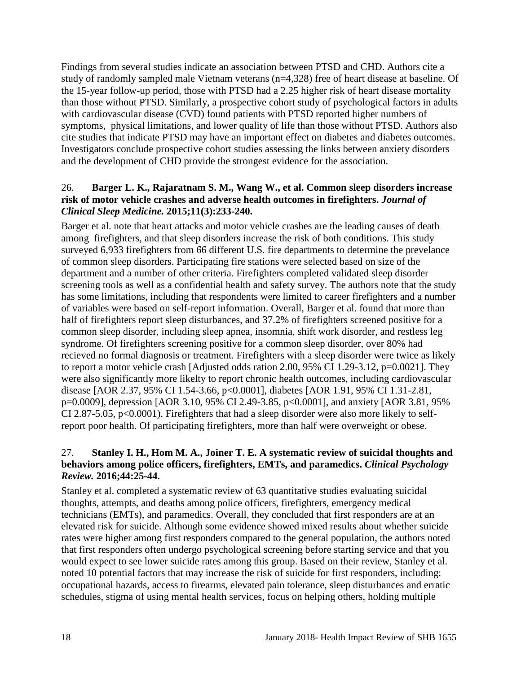Findings from several studies indicate an association between PTSD and CHD. Authors cite a study of randomly sampled male Vietnam veterans (n=4,328) free of heart disease at baseline. Of the 15-year follow-up period, those with PTSD had a 2.25 higher risk of heart disease mortality than those without PTSD. Similarly, a prospective cohort study of psychological factors in adults with cardiovascular disease (CVD) found patients with PTSD reported higher numbers of symptoms, physical limitations, and lower quality of life than those without PTSD. Authors also cite studies that indicate PTSD may have an important effect on diabetes and diabetes outcomes. Investigators conclude prospective cohort studies assessing the links between anxiety disorders and the development of CHD provide the strongest evidence for the association.

# <span id="page-19-0"></span>26. **Barger L. K., Rajaratnam S. M., Wang W., et al. Common sleep disorders increase risk of motor vehicle crashes and adverse health outcomes in firefighters.** *Journal of Clinical Sleep Medicine.* **2015;11(3):233-240.**

Barger et al. note that heart attacks and motor vehicle crashes are the leading causes of death among firefighters, and that sleep disorders increase the risk of both conditions. This study surveyed 6,933 firefighters from 66 different U.S. fire departments to determine the prevelance of common sleep disorders. Participating fire stations were selected based on size of the department and a number of other criteria. Firefighters completed validated sleep disorder screening tools as well as a confidential health and safety survey. The authors note that the study has some limitations, including that respondents were limited to career firefighters and a number of variables were based on self-report information. Overall, Barger et al. found that more than half of firefighters report sleep disturbances, and 37.2% of firefighters screened positive for a common sleep disorder, including sleep apnea, insomnia, shift work disorder, and restless leg syndrome. Of firefighters screening positive for a common sleep disorder, over 80% had recieved no formal diagnosis or treatment. Firefighters with a sleep disorder were twice as likely to report a motor vehicle crash [Adjusted odds ration 2.00, 95% CI 1.29-3.12, p=0.0021]. They were also significantly more likelty to report chronic health outcomes, including cardiovascular disease [AOR 2.37, 95% CI 1.54-3.66, p<0.0001], diabetes [AOR 1.91, 95% CI 1.31-2.81, p=0.0009], depression [AOR 3.10, 95% CI 2.49-3.85, p<0.0001], and anxiety [AOR 3.81, 95% CI 2.87-5.05,  $p<0.0001$ ). Firefighters that had a sleep disorder were also more likely to selfreport poor health. Of participating firefighters, more than half were overweight or obese.

# <span id="page-19-1"></span>27. **Stanley I. H., Hom M. A., Joiner T. E. A systematic review of suicidal thoughts and behaviors among police officers, firefighters, EMTs, and paramedics.** *Clinical Psychology Review.* **2016;44:25-44.**

Stanley et al. completed a systematic review of 63 quantitative studies evaluating suicidal thoughts, attempts, and deaths among police officers, firefighters, emergency medical technicians (EMTs), and paramedics. Overall, they concluded that first responders are at an elevated risk for suicide. Although some evidence showed mixed results about whether suicide rates were higher among first responders compared to the general population, the authors noted that first responders often undergo psychological screening before starting service and that you would expect to see lower suicide rates among this group. Based on their review, Stanley et al. noted 10 potential factors that may increase the risk of suicide for first responders, including: occupational hazards, access to firearms, elevated pain tolerance, sleep disturbances and erratic schedules, stigma of using mental health services, focus on helping others, holding multiple